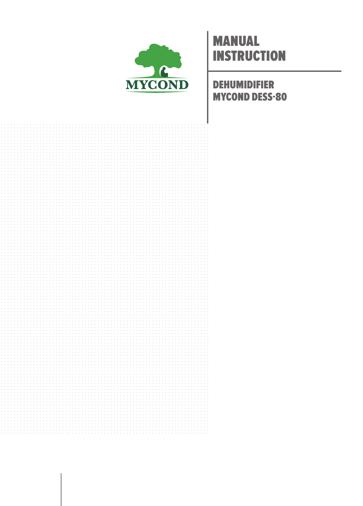

## **MANUAL INSTRUCTION**

**DEHUMIDIFIER MYCOND DESS-80** 

|  |  |  |  |  |  |  |  |  |  |  |  |  | . |  |  |  |  |  |  |  |
|--|--|--|--|--|--|--|--|--|--|--|--|--|---|--|--|--|--|--|--|--|
|  |  |  |  |  |  |  |  |  |  |  |  |  |   |  |  |  |  |  |  |  |
|  |  |  |  |  |  |  |  |  |  |  |  |  |   |  |  |  |  |  |  |  |
|  |  |  |  |  |  |  |  |  |  |  |  |  |   |  |  |  |  |  |  |  |
|  |  |  |  |  |  |  |  |  |  |  |  |  |   |  |  |  |  |  |  |  |
|  |  |  |  |  |  |  |  |  |  |  |  |  |   |  |  |  |  |  |  |  |
|  |  |  |  |  |  |  |  |  |  |  |  |  |   |  |  |  |  |  |  |  |
|  |  |  |  |  |  |  |  |  |  |  |  |  |   |  |  |  |  |  |  |  |
|  |  |  |  |  |  |  |  |  |  |  |  |  |   |  |  |  |  |  |  |  |
|  |  |  |  |  |  |  |  |  |  |  |  |  |   |  |  |  |  |  |  |  |
|  |  |  |  |  |  |  |  |  |  |  |  |  |   |  |  |  |  |  |  |  |
|  |  |  |  |  |  |  |  |  |  |  |  |  |   |  |  |  |  |  |  |  |
|  |  |  |  |  |  |  |  |  |  |  |  |  |   |  |  |  |  |  |  |  |
|  |  |  |  |  |  |  |  |  |  |  |  |  |   |  |  |  |  |  |  |  |
|  |  |  |  |  |  |  |  |  |  |  |  |  |   |  |  |  |  |  |  |  |
|  |  |  |  |  |  |  |  |  |  |  |  |  |   |  |  |  |  |  |  |  |
|  |  |  |  |  |  |  |  |  |  |  |  |  |   |  |  |  |  |  |  |  |
|  |  |  |  |  |  |  |  |  |  |  |  |  |   |  |  |  |  |  |  |  |
|  |  |  |  |  |  |  |  |  |  |  |  |  |   |  |  |  |  |  |  |  |
|  |  |  |  |  |  |  |  |  |  |  |  |  |   |  |  |  |  |  |  |  |
|  |  |  |  |  |  |  |  |  |  |  |  |  |   |  |  |  |  |  |  |  |
|  |  |  |  |  |  |  |  |  |  |  |  |  |   |  |  |  |  |  |  |  |
|  |  |  |  |  |  |  |  |  |  |  |  |  |   |  |  |  |  |  |  |  |
|  |  |  |  |  |  |  |  |  |  |  |  |  |   |  |  |  |  |  |  |  |
|  |  |  |  |  |  |  |  |  |  |  |  |  |   |  |  |  |  |  |  |  |
|  |  |  |  |  |  |  |  |  |  |  |  |  |   |  |  |  |  |  |  |  |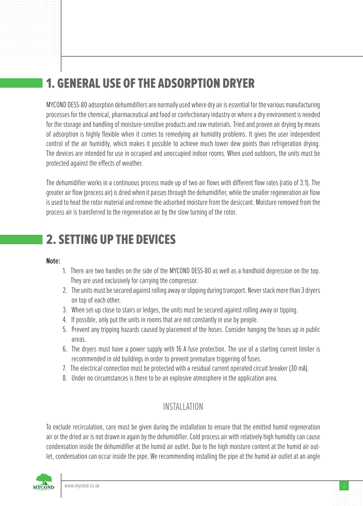# 1. GENERAL USE OF THE ADSORPTION DRYER

MYCOND DESS-80 adsorption dehumidifiers are normally used where dry air is essential for the various manufacturing processes for the chemical, pharmaceutical and food or confectionary industry or where a dry environment is needed for the storage and handling of moisture-sensitive products and raw materials. Tried and proven air drying by means of adsorption is highly flexible when it comes to remedying air humidity problems. It gives the user independent control of the air humidity, which makes it possible to achieve much lower dew points than refrigeration drying. The devices are intended for use in occupied and unoccupied indoor rooms. When used outdoors, the units must be protected against the effects of weather.

The dehumidifier works in a continuous process made up of two air flows with different flow rates (ratio of 3:1). The greater air flow (process air) is dried when it passes through the dehumidifier, while the smaller regeneration air flow is used to heat the rotor material and remove the adsorbed moisture from the desiccant. Moisture removed from the process air is transferred to the regeneration air by the slow turning of the rotor.

### 2. SETTING UP THE DEVICES

#### **Note:**

- 1. There are two handles on the side of the MYCOND DESS-80 as well as a handhold depression on the top. They are used exclusively for carrying the compressor.
- 2. The units must be secured against rolling away or slipping during transport. Never stack more than 3 dryers on top of each other.
- 3. When set-up close to stairs or ledges, the units must be secured against rolling away or tipping.
- 4. If possible, only put the units in rooms that are not constantly in use by people.
- 5. Prevent any tripping hazards caused by placement of the hoses. Consider hanging the hoses up in public areas.
- 6. The dryers must have a power supply with 16 A fuse protection. The use of a starting current limiter is recommended in old buildings in order to prevent premature triggering of fuses.
- 7. The electrical connection must be protected with a residual current operated circuit breaker (30 mA).
- 8. Under no circumstances is there to be an explosive atmosphere in the application area.

### INSTALLATION

To exclude recirculation, care must be given during the installation to ensure that the emitted humid regeneration air or the dried air is not drawn in again by the dehumidifier. Cold process air with relatively high humidity can cause condensation inside the dehumidifier at the humid air outlet. Due to the high moisture content at the humid air outlet, condensation can occur inside the pipe. We recommending installing the pipe at the humid air outlet at an angle

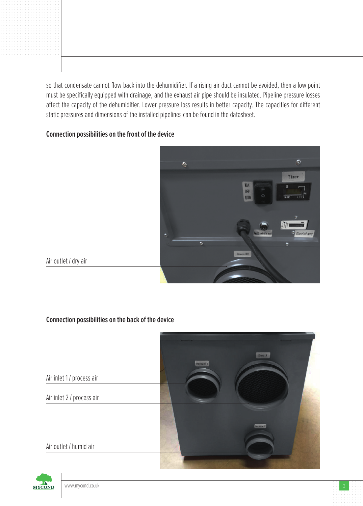so that condensate cannot flow back into the dehumidifier. If a rising air duct cannot be avoided, then a low point must be specifically equipped with drainage, and the exhaust air pipe should be insulated. Pipeline pressure losses affect the capacity of the dehumidifier. Lower pressure loss results in better capacity. The capacities for different static pressures and dimensions of the installed pipelines can be found in the datasheet.

### **Connection possibilities on the front of the device**



Air outlet / dry air

#### **Connection possibilities on the back of the device**





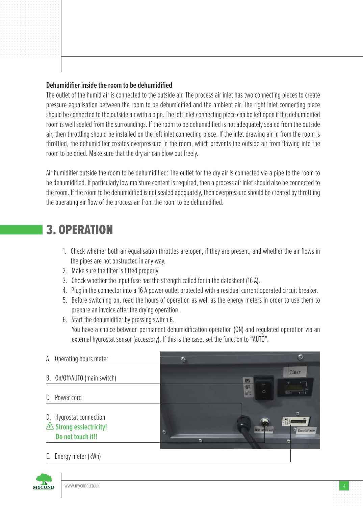#### **Dehumidifier inside the room to be dehumidified**

The outlet of the humid air is connected to the outside air. The process air inlet has two connecting pieces to create pressure equalisation between the room to be dehumidified and the ambient air. The right inlet connecting piece should be connected to the outside air with a pipe. The left inlet connecting piece can be left open if the dehumidified room is well sealed from the surroundings. If the room to be dehumidified is not adequately sealed from the outside air, then throttling should be installed on the left inlet connecting piece. If the inlet drawing air in from the room is throttled, the dehumidifier creates overpressure in the room, which prevents the outside air from flowing into the room to be dried. Make sure that the dry air can blow out freely.

Air humidifier outside the room to be dehumidified: The outlet for the dry air is connected via a pipe to the room to be dehumidified. If particularly low moisture content is required, then a process air inlet should also be connected to the room. If the room to be dehumidified is not sealed adequately, then overpressure should be created by throttling the operating air flow of the process air from the room to be dehumidified.

### 3. OPERATION

- 1. Check whether both air equalisation throttles are open, if they are present, and whether the air flows in the pipes are not obstructed in any way.
- 2. Make sure the filter is fitted properly.
- 3. Check whether the input fuse has the strength called for in the datasheet (16 A).
- 4. Plug in the connector into a 16 A power outlet protected with a residual current operated circuit breaker.
- 5. Before switching on, read the hours of operation as well as the energy meters in order to use them to prepare an invoice after the drying operation.
- 6. Start the dehumidifier by pressing switch B. You have a choice between permanent dehumidification operation (ON) and regulated operation via an external hygrostat sensor (accessory). If this is the case, set the function to "AUTO".

| A. Operating hours meter                                                       | I.                   | 感                                                              |
|--------------------------------------------------------------------------------|----------------------|----------------------------------------------------------------|
| B. On/Off/AUTO (main switch)                                                   |                      | Timer<br>OFF<br>$\circ$<br>AUTO.<br>HOURS                      |
| C. Power cord                                                                  |                      | I                                                              |
| D. Hygrostat connection<br><b>△ Strong esslectricity!</b><br>Do not touch it!! | $\mathfrak{S}$<br>B. | බ<br><b>Itality</b> cataller servi<br><b>Electrical n</b> eter |
| E. Energy meter (kWh)                                                          |                      |                                                                |

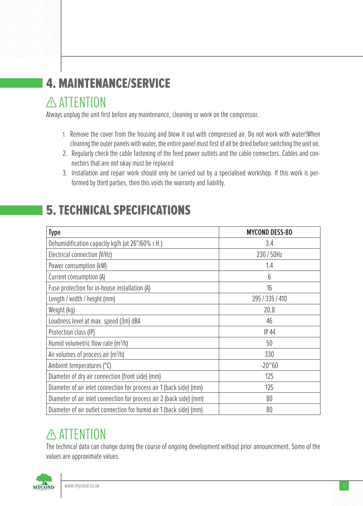# 4. MAINTENANCE/SERVICE

### ATTENTION

Always unplug the unit first before any maintenance, cleaning or work on the compressor.

- 1. Remove the cover from the housing and blow it out with compressed air. Do not work with water!When cleaning the outer panels with water, the entire panel must first of all be dried before switching the unit on.
- 2. Regularly check the cable fastening of the feed power outlets and the cable connectors. Cables and connectors that are not okay must be replaced
- 3. Installation and repair work should only be carried out by a specialised workshop. If this work is performed by third parties, then this voids the warranty and liability.

## 5. TECHNICAL SPECIFICATIONS

| <b>Type</b>                                                         | <b>MYCOND DESS-80</b> |
|---------------------------------------------------------------------|-----------------------|
| Dehumidification capacity kg/h (at 26°/60% r.H.)                    | 3.4                   |
| Electrical connection (V/Hz)                                        | 230/50Hz              |
| Power consumption (kW)                                              | 1.4                   |
| Current consumption (A)                                             | 6                     |
| Fuse protection for in-house installation (A)                       | 16                    |
| Length / width / height (mm)                                        | 395 / 335 / 410       |
| Weight (kg)                                                         | 20.8                  |
| Loudness level at max. speed (3m) dBA                               | 46                    |
| Protection class (IP)                                               | IP 44                 |
| Humid volumetric flow rate $(m^3/h)$                                | 50                    |
| Air volumes of process air $(m^3/h)$                                | 330                   |
| Ambient temperatures (°C)                                           | $-20^{\circ}60$       |
| Diameter of dry air connection (front side) (mm)                    | 125                   |
| Diameter of air inlet connection for process air 1 (back side) (mm) | 125                   |
| Diameter of air inlet connection for process air 2 (back side) (mm) | 80                    |
| Diameter of air outlet connection for humid air 1 (back side) (mm)  | 80                    |

# **ATTENTION**

The technical data can change during the course of ongoing development without prior announcement. Some of the values are approximate values.

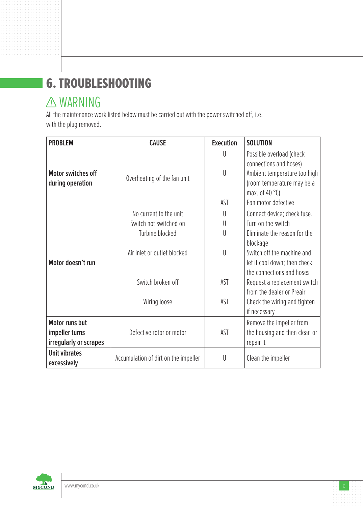# 6. TROUBLESHOOTING

## **A WARNING**

All the maintenance work listed below must be carried out with the power switched off, i.e. with the plug removed.

| <b>PROBLEM</b>                                | <b>CAUSE</b>                         | <b>Execution</b> | <b>SOLUTION</b>                                                                                                                                                     |
|-----------------------------------------------|--------------------------------------|------------------|---------------------------------------------------------------------------------------------------------------------------------------------------------------------|
| <b>Motor switches off</b><br>during operation | Overheating of the fan unit          | U<br>U<br>AST    | Possible overload (check<br>connections and hoses)<br>Ambient temperature too high<br>(room temperature may be a<br>max. of 40 $^{\circ}$ C)<br>Fan motor defective |
|                                               | No current to the unit               | U                | Connect device; check fuse.                                                                                                                                         |
|                                               | Switch not switched on               | U                | Turn on the switch                                                                                                                                                  |
|                                               | Turbine blocked                      | U                | Eliminate the reason for the                                                                                                                                        |
|                                               |                                      |                  | blockage                                                                                                                                                            |
|                                               | Air inlet or outlet blocked          | U                | Switch off the machine and                                                                                                                                          |
| Motor doesn't run                             |                                      |                  | let it cool down; then check                                                                                                                                        |
|                                               |                                      |                  | the connections and hoses                                                                                                                                           |
|                                               | Switch broken off                    | AST              | Request a replacement switch                                                                                                                                        |
|                                               | Wiring loose                         | AST              | from the dealer or Preair<br>Check the wiring and tighten                                                                                                           |
|                                               |                                      |                  | if necessary                                                                                                                                                        |
| <b>Motor runs but</b>                         |                                      |                  | Remove the impeller from                                                                                                                                            |
| impeller turns                                | Defective rotor or motor             | AST              | the housing and then clean or                                                                                                                                       |
| irregularly or scrapes                        |                                      |                  | repair it                                                                                                                                                           |
| <b>Unit vibrates</b>                          |                                      |                  |                                                                                                                                                                     |
| excessively                                   | Accumulation of dirt on the impeller | U                | Clean the impeller                                                                                                                                                  |